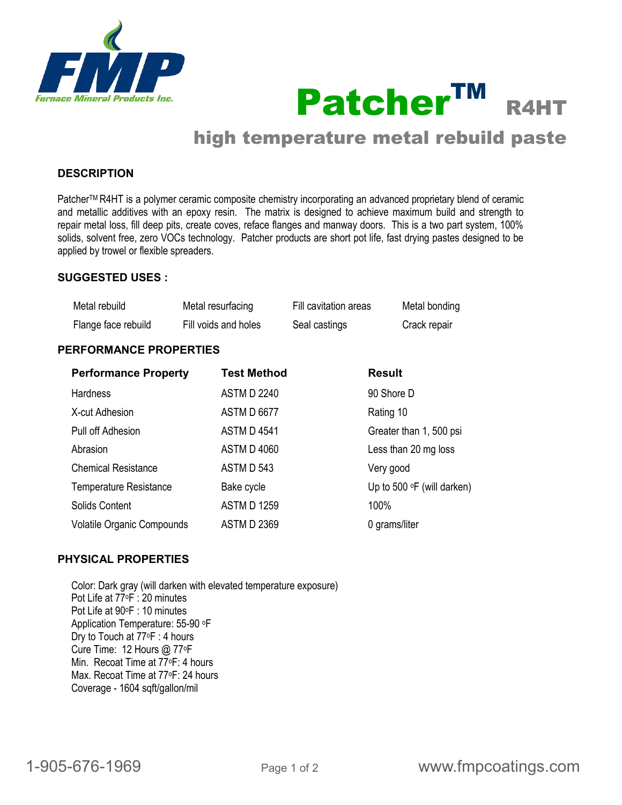



# high temperature metal rebuild paste

## **DESCRIPTION**

Patcher™ R4HT is a polymer ceramic composite chemistry incorporating an advanced proprietary blend of ceramic and metallic additives with an epoxy resin. The matrix is designed to achieve maximum build and strength to repair metal loss, fill deep pits, create coves, reface flanges and manway doors. This is a two part system, 100% solids, solvent free, zero VOCs technology. Patcher products are short pot life, fast drying pastes designed to be applied by trowel or flexible spreaders.

#### **SUGGESTED USES :**

| Metal rebuild       | Metal resurfacing    | Fill cavitation areas | Metal bonding |
|---------------------|----------------------|-----------------------|---------------|
| Flange face rebuild | Fill voids and holes | Seal castings         | Crack repair  |

#### **PERFORMANCE PROPERTIES**

| <b>Performance Property</b>       | <b>Test Method</b> | <b>Result</b>                     |
|-----------------------------------|--------------------|-----------------------------------|
| <b>Hardness</b>                   | <b>ASTM D 2240</b> | 90 Shore D                        |
| X-cut Adhesion                    | <b>ASTM D 6677</b> | Rating 10                         |
| Pull off Adhesion                 | <b>ASTM D 4541</b> | Greater than 1, 500 psi           |
| Abrasion                          | <b>ASTM D 4060</b> | Less than 20 mg loss              |
| <b>Chemical Resistance</b>        | ASTM D 543         | Very good                         |
| <b>Temperature Resistance</b>     | Bake cycle         | Up to 500 $\circ$ F (will darken) |
| Solids Content                    | <b>ASTM D 1259</b> | 100%                              |
| <b>Volatile Organic Compounds</b> | <b>ASTM D 2369</b> | 0 grams/liter                     |

#### **PHYSICAL PROPERTIES**

Color: Dark gray (will darken with elevated temperature exposure) Pot Life at 77oF : 20 minutes Pot Life at 90°F : 10 minutes Application Temperature: 55-90 oF Dry to Touch at 77oF : 4 hours Cure Time: 12 Hours @ 77°F Min. Recoat Time at 77oF: 4 hours Max. Recoat Time at 77°F: 24 hours Coverage - 1604 sqft/gallon/mil